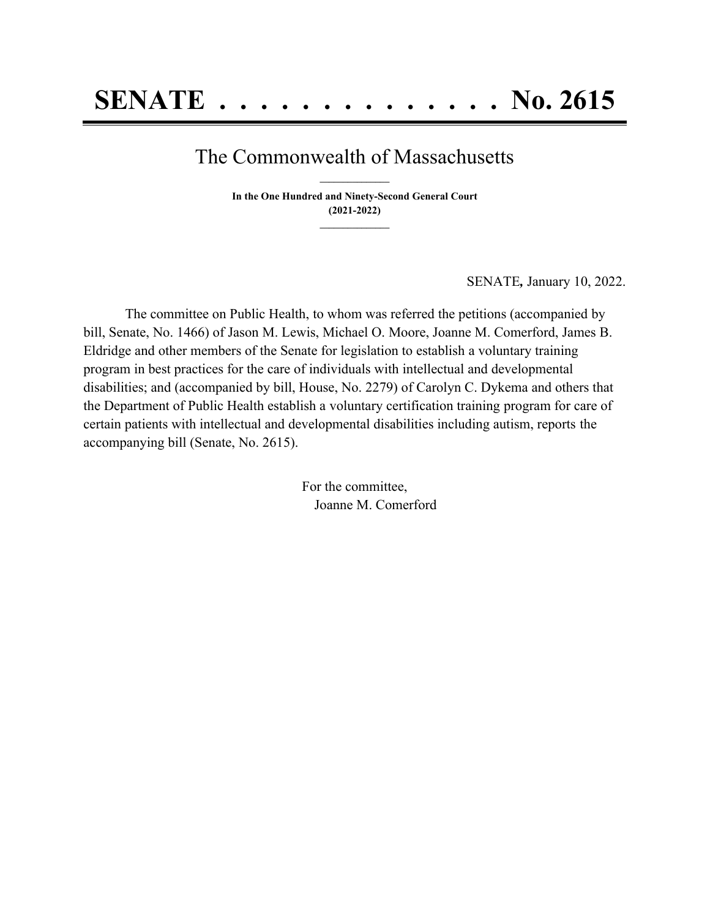## The Commonwealth of Massachusetts **\_\_\_\_\_\_\_\_\_\_\_\_\_\_\_**

**In the One Hundred and Ninety-Second General Court (2021-2022) \_\_\_\_\_\_\_\_\_\_\_\_\_\_\_**

SENATE*,* January 10, 2022.

The committee on Public Health, to whom was referred the petitions (accompanied by bill, Senate, No. 1466) of Jason M. Lewis, Michael O. Moore, Joanne M. Comerford, James B. Eldridge and other members of the Senate for legislation to establish a voluntary training program in best practices for the care of individuals with intellectual and developmental disabilities; and (accompanied by bill, House, No. 2279) of Carolyn C. Dykema and others that the Department of Public Health establish a voluntary certification training program for care of certain patients with intellectual and developmental disabilities including autism, reports the accompanying bill (Senate, No. 2615).

> For the committee, Joanne M. Comerford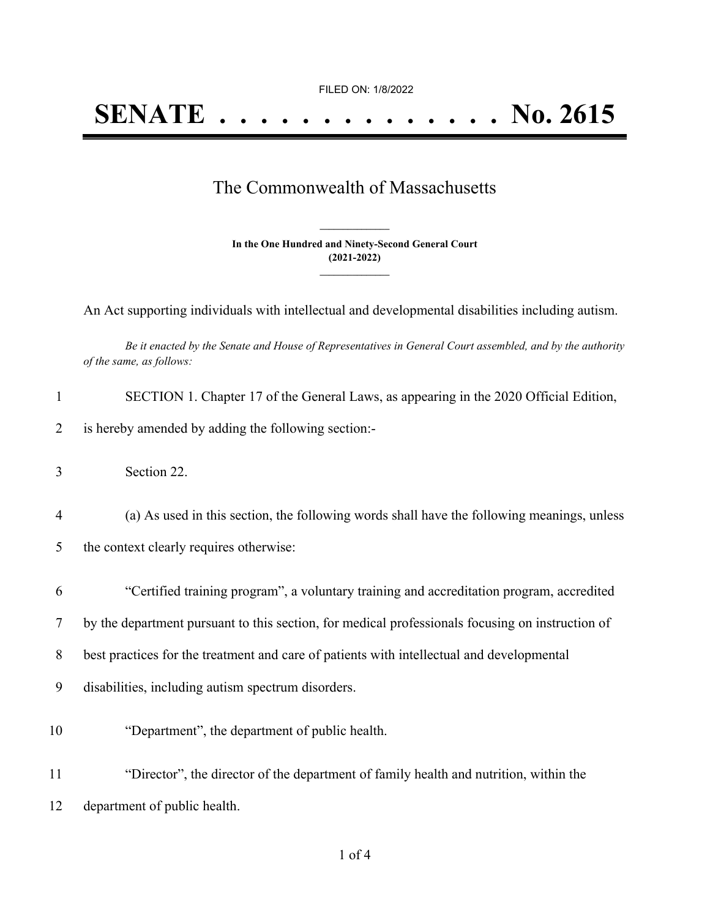FILED ON: 1/8/2022

## The Commonwealth of Massachusetts

**In the One Hundred and Ninety-Second General Court (2021-2022) \_\_\_\_\_\_\_\_\_\_\_\_\_\_\_**

**\_\_\_\_\_\_\_\_\_\_\_\_\_\_\_**

An Act supporting individuals with intellectual and developmental disabilities including autism.

Be it enacted by the Senate and House of Representatives in General Court assembled, and by the authority *of the same, as follows:*

| $\mathbf{1}$   | SECTION 1. Chapter 17 of the General Laws, as appearing in the 2020 Official Edition,            |
|----------------|--------------------------------------------------------------------------------------------------|
| $\overline{2}$ | is hereby amended by adding the following section:-                                              |
| 3              | Section 22.                                                                                      |
| $\overline{4}$ | (a) As used in this section, the following words shall have the following meanings, unless       |
| 5              | the context clearly requires otherwise:                                                          |
| 6              | "Certified training program", a voluntary training and accreditation program, accredited         |
| 7              | by the department pursuant to this section, for medical professionals focusing on instruction of |
| 8              | best practices for the treatment and care of patients with intellectual and developmental        |
| 9              | disabilities, including autism spectrum disorders.                                               |
| 10             | "Department", the department of public health.                                                   |
| 11             | "Director", the director of the department of family health and nutrition, within the            |
| 12             | department of public health.                                                                     |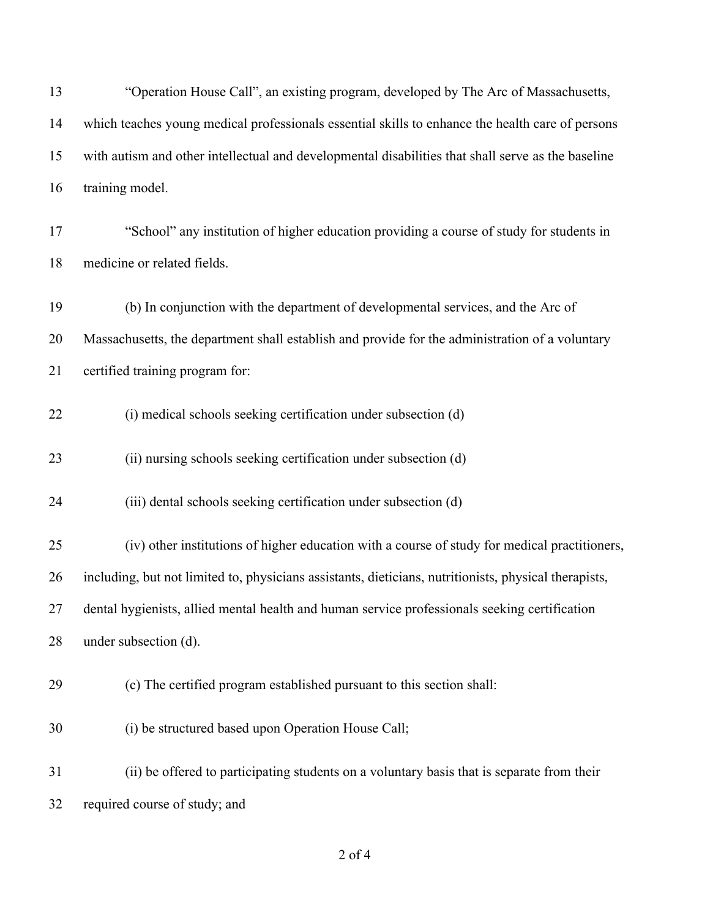| 13 | "Operation House Call", an existing program, developed by The Arc of Massachusetts,                   |
|----|-------------------------------------------------------------------------------------------------------|
| 14 | which teaches young medical professionals essential skills to enhance the health care of persons      |
| 15 | with autism and other intellectual and developmental disabilities that shall serve as the baseline    |
| 16 | training model.                                                                                       |
| 17 | "School" any institution of higher education providing a course of study for students in              |
| 18 | medicine or related fields.                                                                           |
| 19 | (b) In conjunction with the department of developmental services, and the Arc of                      |
| 20 | Massachusetts, the department shall establish and provide for the administration of a voluntary       |
| 21 | certified training program for:                                                                       |
| 22 | (i) medical schools seeking certification under subsection (d)                                        |
| 23 | (ii) nursing schools seeking certification under subsection (d)                                       |
| 24 | (iii) dental schools seeking certification under subsection (d)                                       |
| 25 | (iv) other institutions of higher education with a course of study for medical practitioners,         |
| 26 | including, but not limited to, physicians assistants, dieticians, nutritionists, physical therapists, |
| 27 | dental hygienists, allied mental health and human service professionals seeking certification         |
| 28 | under subsection (d).                                                                                 |
| 29 | (c) The certified program established pursuant to this section shall:                                 |
| 30 | (i) be structured based upon Operation House Call;                                                    |
| 31 | (ii) be offered to participating students on a voluntary basis that is separate from their            |
| 32 | required course of study; and                                                                         |

## of 4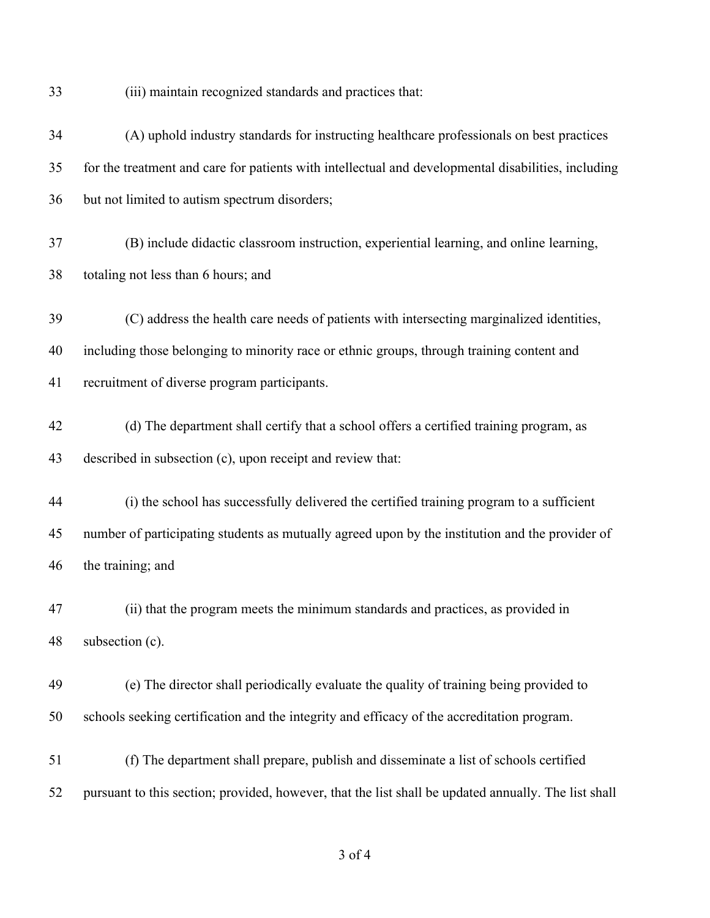(iii) maintain recognized standards and practices that:

| 34 | (A) uphold industry standards for instructing healthcare professionals on best practices             |
|----|------------------------------------------------------------------------------------------------------|
| 35 | for the treatment and care for patients with intellectual and developmental disabilities, including  |
| 36 | but not limited to autism spectrum disorders;                                                        |
| 37 | (B) include didactic classroom instruction, experiential learning, and online learning,              |
| 38 | totaling not less than 6 hours; and                                                                  |
| 39 | (C) address the health care needs of patients with intersecting marginalized identities,             |
| 40 | including those belonging to minority race or ethnic groups, through training content and            |
| 41 | recruitment of diverse program participants.                                                         |
| 42 | (d) The department shall certify that a school offers a certified training program, as               |
| 43 | described in subsection (c), upon receipt and review that:                                           |
| 44 | (i) the school has successfully delivered the certified training program to a sufficient             |
| 45 | number of participating students as mutually agreed upon by the institution and the provider of      |
| 46 | the training; and                                                                                    |
| 47 | (ii) that the program meets the minimum standards and practices, as provided in                      |
| 48 | subsection (c).                                                                                      |
| 49 | (e) The director shall periodically evaluate the quality of training being provided to               |
| 50 | schools seeking certification and the integrity and efficacy of the accreditation program.           |
| 51 | (f) The department shall prepare, publish and disseminate a list of schools certified                |
| 52 | pursuant to this section; provided, however, that the list shall be updated annually. The list shall |